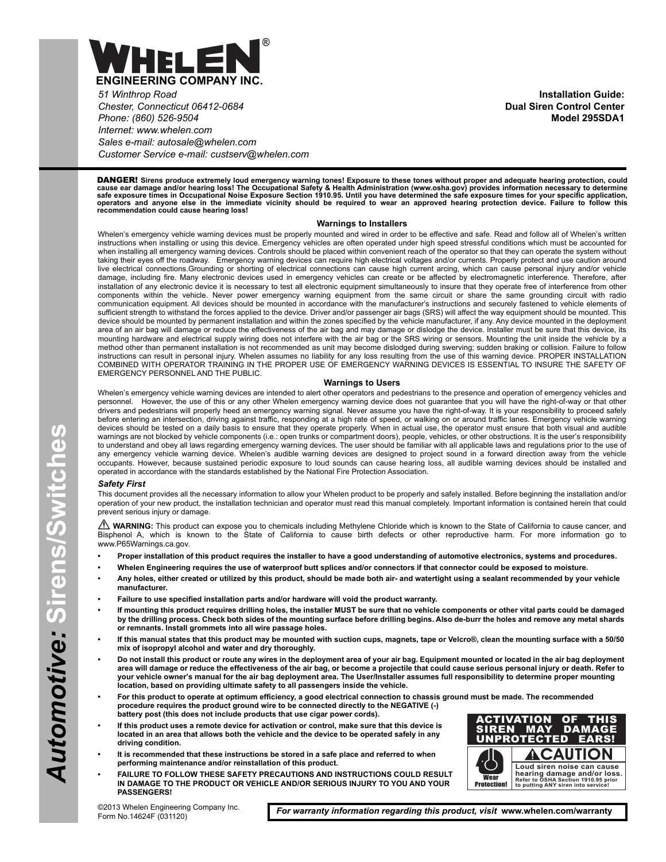

*51 Winthrop Road Chester, Connecticut 06412-0684 Phone: (860) 526-9504 Internet: www.whelen.com Sales e-mail: autosale@whelen.com Customer Service e-mail: custserv@whelen.com*

**Installation Guide: Dual Siren Control Center Model 295SDA1**

DANGER! **Sirens produce extremely loud emergency warning tones! Exposure to these tones without proper and adequate hearing protection, could** cause ear damage and/or hearing loss! The Occupational Safety & Health Administration (www.osha.gov) provides information necessary to determine<br>safe exposure times in Occupational Noise Exposure Section 1910.95. Until you

#### **Warnings to Installers**

Whelen's emergency vehicle warning devices must be properly mounted and wired in order to be effective and safe. Read and follow all of Whelen's written instructions when installing or using this device. Emergency vehicles are often operated under high speed stressful conditions which must be accounted for when installing all emergency warning devices. Controls should be placed within convenient reach of the operator so that they can operate the system without taking their eyes off the roadway. Emergency warning devices can require high electrical voltages and/or currents. Properly protect and use caution around live electrical connections.Grounding or shorting of electrical connections can cause high current arcing, which can cause personal injury and/or vehicle damage, including fire. Many electronic devices used in emergency vehicles can create or be affected by electromagnetic interference. Therefore, after installation of any electronic device it is necessary to test all electronic equipment simultaneously to insure that they operate free of interference from other components within the vehicle. Never power emergency warning equipment from the same circuit or share the same grounding circuit with radio communication equipment. All devices should be mounted in accordance with the manufacturer's instructions and securely fastened to vehicle elements of sufficient strength to withstand the forces applied to the device. Driver and/or passenger air bags (SRS) will affect the way equipment should be mounted. This device should be mounted by permanent installation and within the zones specified by the vehicle manufacturer, if any. Any device mounted in the deployment area of an air bag will damage or reduce the effectiveness of the air bag and may damage or dislodge the device. Installer must be sure that this device, its mounting hardware and electrical supply wiring does not interfere with the air bag or the SRS wiring or sensors. Mounting the unit inside the vehicle by a method other than permanent installation is not recommended as unit may become dislodged during swerving; sudden braking or collision. Failure to follow instructions can result in personal injury. Whelen assumes no liability for any loss resulting from the use of this warning device. PROPER INSTALLATION COMBINED WITH OPERATOR TRAINING IN THE PROPER USE OF EMERGENCY WARNING DEVICES IS ESSENTIAL TO INSURE THE SAFETY OF EMERGENCY PERSONNEL AND THE PUBLIC.

#### **Warnings to Users**

Whelen's emergency vehicle warning devices are intended to alert other operators and pedestrians to the presence and operation of emergency vehicles and personnel. However, the use of this or any other Whelen emergency warning device does not guarantee that you will have the right-of-way or that other drivers and pedestrians will properly heed an emergency warning signal. Never assume you have the right-of-way. It is your responsibility to proceed safely before entering an intersection, driving against traffic, responding at a high rate of speed, or walking on or around traffic lanes. Emergency vehicle warning devices should be tested on a daily basis to ensure that they operate properly. When in actual use, the operator must ensure that both visual and audible warnings are not blocked by vehicle components (i.e.: open trunks or compartment doors), people, vehicles, or other obstructions. It is the user's responsibility to understand and obey all laws regarding emergency warning devices. The user should be familiar with all applicable laws and regulations prior to the use of any emergency vehicle warning device. Whelen's audible warning devices are designed to project sound in a forward direction away from the vehicle occupants. However, because sustained periodic exposure to loud sounds can cause hearing loss, all audible warning devices should be installed and operated in accordance with the standards established by the National Fire Protection Association.

#### *Safety First*

This document provides all the necessary information to allow your Whelen product to be properly and safely installed. Before beginning the installation and/or operation of your new product, the installation technician and operator must read this manual completely. Important information is contained herein that could prevent serious injury or damage.

WARNING: This product can expose you to chemicals including Methylene Chloride which is known to the State of California to cause cancer, and Bisphenol A, which is known to the State of California to cause birth defects or other reproductive harm. For more information go to www.P65Warnings.ca.gov.

- **Proper installation of this product requires the installer to have a good understanding of automotive electronics, systems and procedures.**
- **Whelen Engineering requires the use of waterproof butt splices and/or connectors if that connector could be exposed to moisture.**
- **Any holes, either created or utilized by this product, should be made both air- and watertight using a sealant recommended by your vehicle manufacturer.**
- **Failure to use specified installation parts and/or hardware will void the product warranty.**
- **If mounting this product requires drilling holes, the installer MUST be sure that no vehicle components or other vital parts could be damaged by the drilling process. Check both sides of the mounting surface before drilling begins. Also de-burr the holes and remove any metal shards or remnants. Install grommets into all wire passage holes.**
- **If this manual states that this product may be mounted with suction cups, magnets, tape or Velcro®, clean the mounting surface with a 50/50 mix of isopropyl alcohol and water and dry thoroughly.**
- **Do not install this product or route any wires in the deployment area of your air bag. Equipment mounted or located in the air bag deployment area will damage or reduce the effectiveness of the air bag, or become a projectile that could cause serious personal injury or death. Refer to your vehicle owner's manual for the air bag deployment area. The User/Installer assumes full responsibility to determine proper mounting location, based on providing ultimate safety to all passengers inside the vehicle.**
- **For this product to operate at optimum efficiency, a good electrical connection to chassis ground must be made. The recommended procedure requires the product ground wire to be connected directly to the NEGATIVE (-) battery post (this does not include products that use cigar power cords).**
- **If this product uses a remote device for activation or control, make sure that this device is located in an area that allows both the vehicle and the device to be operated safely in any driving condition.**
- **It is recommended that these instructions be stored in a safe place and referred to when performing maintenance and/or reinstallation of this product.**
- **FAILURE TO FOLLOW THESE SAFETY PRECAUTIONS AND INSTRUCTIONS COULD RESULT IN DAMAGE TO THE PRODUCT OR VEHICLE AND/OR SERIOUS INJURY TO YOU AND YOUR PASSENGERS!**



©2013 Whelen Engineering Company Inc. Form No.14624F (031120)

*For warranty information regarding this product, visit* **www.whelen.com/warranty**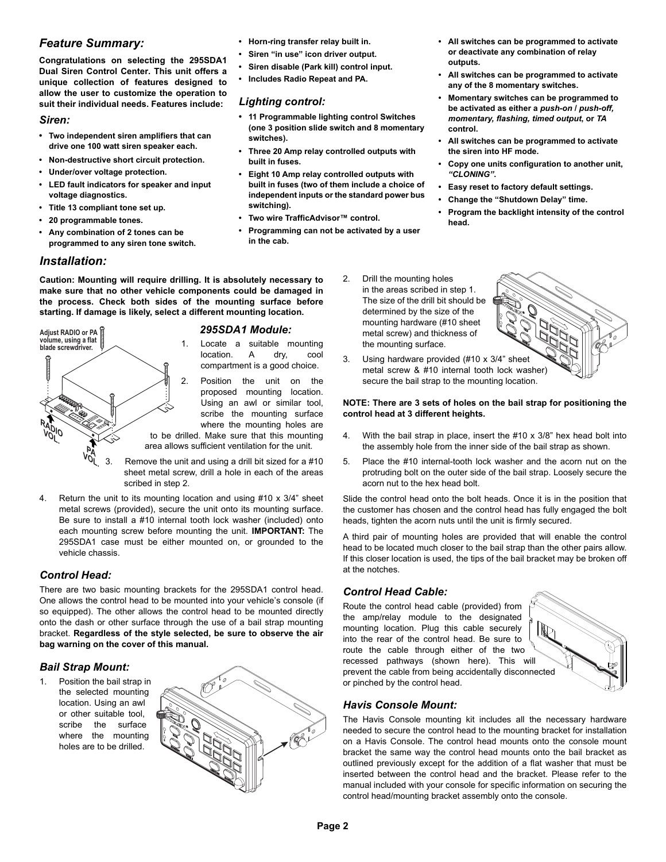### *Feature Summary:*

**Congratulations on selecting the 295SDA1 Dual Siren Control Center. This unit offers a unique collection of features designed to allow the user to customize the operation to suit their individual needs. Features include:**

#### *Siren:*

- **• Two independent siren amplifiers that can drive one 100 watt siren speaker each.**
- **Non-destructive short circuit protection.**
- **Under/over voltage protection.**
- **LED fault indicators for speaker and input voltage diagnostics.**
- **Title 13 compliant tone set up.**
- **20 programmable tones.**
- **Any combination of 2 tones can be programmed to any siren tone switch.**
- *Installation:*

**Adjust RADIO or PA volume, using a flat blade screwdriver.**

**RADIO VOL.**

**Caution: Mounting will require drilling. It is absolutely necessary to make sure that no other vehicle components could be damaged in the process. Check both sides of the mounting surface before starting. If damage is likely, select a different mounting location.**

## *295SDA1 Module:*

1. Locate a suitable mounting location. A dry, cool compartment is a good choice.

2. Position the unit on the proposed mounting location. Using an awl or similar tool, scribe the mounting surface where the mounting holes are to be drilled. Make sure that this mounting

area allows sufficient ventilation for the unit.

Remove the unit and using a drill bit sized for a #10 sheet metal screw, drill a hole in each of the areas scribed in step 2.

4. Return the unit to its mounting location and using #10 x 3/4" sheet metal screws (provided), secure the unit onto its mounting surface. Be sure to install a #10 internal tooth lock washer (included) onto each mounting screw before mounting the unit. **IMPORTANT:** The 295SDA1 case must be either mounted on, or grounded to the vehicle chassis.

### *Control Head:*

**PA VOL.**

There are two basic mounting brackets for the 295SDA1 control head. One allows the control head to be mounted into your vehicle's console (if so equipped). The other allows the control head to be mounted directly onto the dash or other surface through the use of a bail strap mounting bracket. **Regardless of the style selected, be sure to observe the air bag warning on the cover of this manual.**

#### *Bail Strap Mount:*

1. Position the bail strap in the selected mounting location. Using an awl or other suitable tool, scribe the surface where the mounting holes are to be drilled.



- **Horn-ring transfer relay built in.**
- **Siren "in use" icon driver output.**
- **Siren disable (Park kill) control input.**
- **Includes Radio Repeat and PA.**

### *Lighting control:*

- **• 11 Programmable lighting control Switches (one 3 position slide switch and 8 momentary switches).**
- **Three 20 Amp relay controlled outputs with built in fuses.**
- **Eight 10 Amp relay controlled outputs with built in fuses (two of them include a choice of independent inputs or the standard power bus switching).**
- **Two wire TrafficAdvisor™ control.**
- **Programming can not be activated by a user in the cab.**
- **All switches can be programmed to activate or deactivate any combination of relay outputs.**
- **All switches can be programmed to activate any of the 8 momentary switches.**
- **Momentary switches can be programmed to be activated as either a** *push-on* **/** *push-off, momentary, flashing, timed output***, or** *TA* **control.**
- **All switches can be programmed to activate the siren into HF mode.**
- **Copy one units configuration to another unit,**  *"CLONING"***.**
- **Easy reset to factory default settings.**
- **Change the "Shutdown Delay" time.**
- **Program the backlight intensity of the control head.**
- 2. Drill the mounting holes in the areas scribed in step 1. The size of the drill bit should be determined by the size of the mounting hardware (#10 sheet metal screw) and thickness of the mounting surface.



3. Using hardware provided (#10 x 3/4" sheet metal screw & #10 internal tooth lock washer) secure the bail strap to the mounting location.

#### **NOTE: There are 3 sets of holes on the bail strap for positioning the control head at 3 different heights.**

- 4. With the bail strap in place, insert the #10 x 3/8" hex head bolt into the assembly hole from the inner side of the bail strap as shown.
- 5. Place the #10 internal-tooth lock washer and the acorn nut on the protruding bolt on the outer side of the bail strap. Loosely secure the acorn nut to the hex head bolt.

Slide the control head onto the bolt heads. Once it is in the position that the customer has chosen and the control head has fully engaged the bolt heads, tighten the acorn nuts until the unit is firmly secured.

A third pair of mounting holes are provided that will enable the control head to be located much closer to the bail strap than the other pairs allow. If this closer location is used, the tips of the bail bracket may be broken off at the notches.

#### *Control Head Cable:*

Route the control head cable (provided) from the amp/relay module to the designated mounting location. Plug this cable securely into the rear of the control head. Be sure to route the cable through either of the two recessed pathways (shown here). This will prevent the cable from being accidentally disconnected or pinched by the control head.



### *Havis Console Mount:*

The Havis Console mounting kit includes all the necessary hardware needed to secure the control head to the mounting bracket for installation on a Havis Console. The control head mounts onto the console mount bracket the same way the control head mounts onto the bail bracket as outlined previously except for the addition of a flat washer that must be inserted between the control head and the bracket. Please refer to the manual included with your console for specific information on securing the control head/mounting bracket assembly onto the console.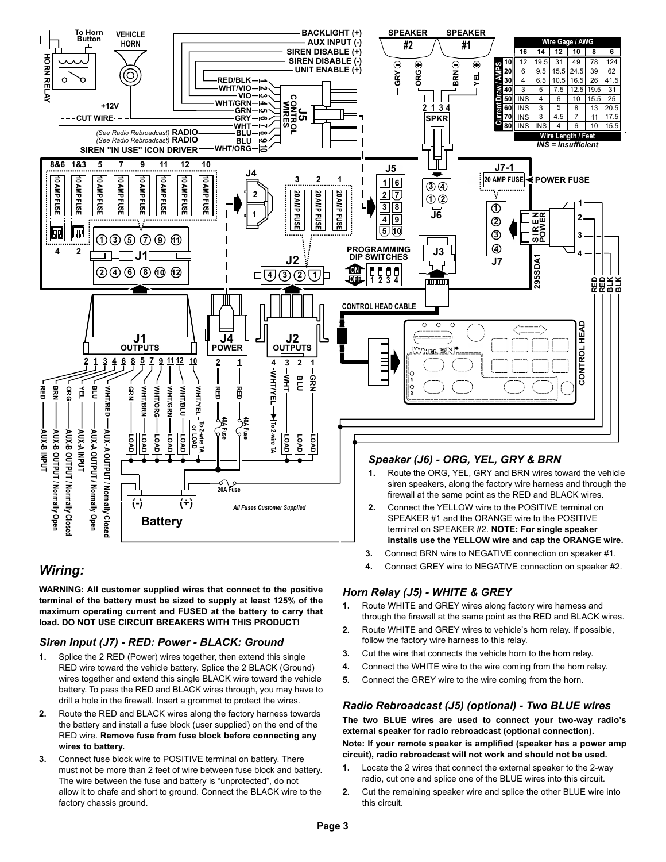

# *Wiring:*

**WARNING: All customer supplied wires that connect to the positive terminal of the battery must be sized to supply at least 125% of the maximum operating current and FUSED at the battery to carry that load. DO NOT USE CIRCUIT BREAKERS WITH THIS PRODUCT!**

### *Siren Input (J7) - RED: Power - BLACK: Ground*

- **1.** Splice the 2 RED (Power) wires together, then extend this single RED wire toward the vehicle battery. Splice the 2 BLACK (Ground) wires together and extend this single BLACK wire toward the vehicle battery. To pass the RED and BLACK wires through, you may have to drill a hole in the firewall. Insert a grommet to protect the wires.
- **2.** Route the RED and BLACK wires along the factory harness towards the battery and install a fuse block (user supplied) on the end of the RED wire. **Remove fuse from fuse block before connecting any wires to battery.**
- **3.** Connect fuse block wire to POSITIVE terminal on battery. There must not be more than 2 feet of wire between fuse block and battery. The wire between the fuse and battery is "unprotected", do not allow it to chafe and short to ground. Connect the BLACK wire to the factory chassis ground.
- siren speakers, along the factory wire harness and through the
- terminal on SPEAKER #2. **NOTE: For single speaker installs use the YELLOW wire and cap the ORANGE wire.**
- **3.** Connect BRN wire to NEGATIVE connection on speaker #1.
- **4.** Connect GREY wire to NEGATIVE connection on speaker #2.

### *Horn Relay (J5) - WHITE & GREY*

- **1.** Route WHITE and GREY wires along factory wire harness and through the firewall at the same point as the RED and BLACK wires.
- **2.** Route WHITE and GREY wires to vehicle's horn relay. If possible, follow the factory wire harness to this relay.
- **3.** Cut the wire that connects the vehicle horn to the horn relay.
- **4.** Connect the WHITE wire to the wire coming from the horn relay.
- **5.** Connect the GREY wire to the wire coming from the horn.

#### *Radio Rebroadcast (J5) (optional) - Two BLUE wires*

**The two BLUE wires are used to connect your two-way radio's external speaker for radio rebroadcast (optional connection).**

**Note: If your remote speaker is amplified (speaker has a power amp circuit), radio rebroadcast will not work and should not be used.**

- **1.** Locate the 2 wires that connect the external speaker to the 2-way radio, cut one and splice one of the BLUE wires into this circuit.
- **2.** Cut the remaining speaker wire and splice the other BLUE wire into this circuit.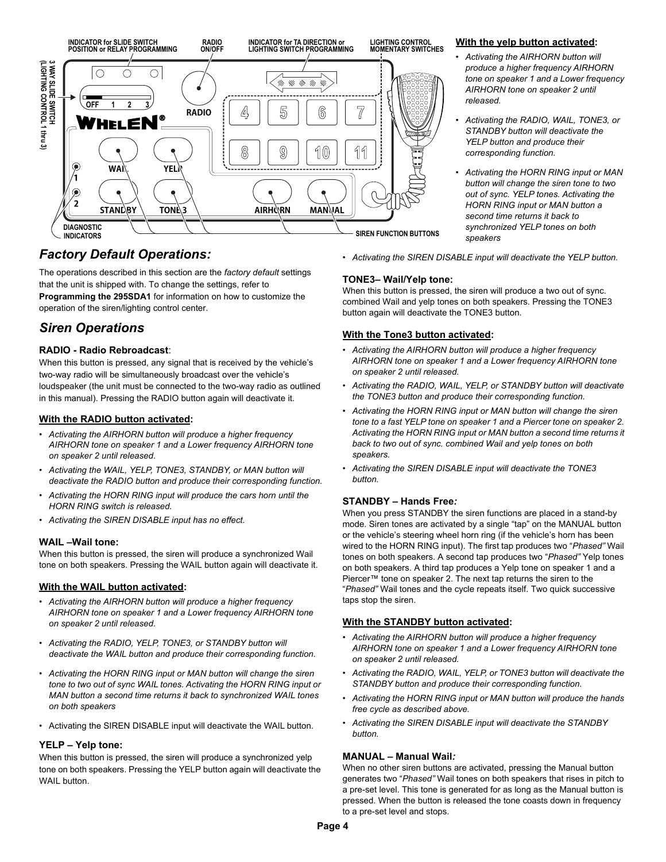

#### **With the yelp button activated:**

- *Activating the AIRHORN button will produce a higher frequency AIRHORN tone on speaker 1 and a Lower frequency AIRHORN tone on speaker 2 until released.*
- *Activating the RADIO, WAIL, TONE3, or STANDBY button will deactivate the YELP button and produce their corresponding function.*
- *Activating the HORN RING input or MAN button will change the siren tone to two out of sync. YELP tones. Activating the HORN RING input or MAN button a second time returns it back to synchronized YELP tones on both speakers*

*Factory Default Operations:*

The operations described in this section are the *factory default* settings that the unit is shipped with. To change the settings, refer to **Programming the 295SDA1** for information on how to customize the operation of the siren/lighting control center.

# *Siren Operations*

#### **RADIO - Radio Rebroadcast**:

When this button is pressed, any signal that is received by the vehicle's two-way radio will be simultaneously broadcast over the vehicle's loudspeaker (the unit must be connected to the two-way radio as outlined in this manual). Pressing the RADIO button again will deactivate it.

#### **With the RADIO button activated:**

- *Activating the AIRHORN button will produce a higher frequency AIRHORN tone on speaker 1 and a Lower frequency AIRHORN tone on speaker 2 until released.*
- *Activating the WAIL, YELP, TONE3, STANDBY, or MAN button will deactivate the RADIO button and produce their corresponding function.*
- *Activating the HORN RING input will produce the cars horn until the HORN RING switch is released.*
- *Activating the SIREN DISABLE input has no effect.*

#### **WAIL –Wail tone:**

When this button is pressed, the siren will produce a synchronized Wail tone on both speakers. Pressing the WAIL button again will deactivate it.

#### **With the WAIL button activated:**

- *Activating the AIRHORN button will produce a higher frequency AIRHORN tone on speaker 1 and a Lower frequency AIRHORN tone on speaker 2 until released.*
- *Activating the RADIO, YELP, TONE3, or STANDBY button will deactivate the WAIL button and produce their corresponding function.*
- *Activating the HORN RING input or MAN button will change the siren tone to two out of sync WAIL tones. Activating the HORN RING input or MAN button a second time returns it back to synchronized WAIL tones on both speakers*
- Activating the SIREN DISABLE input will deactivate the WAIL button.

### **YELP – Yelp tone:**

When this button is pressed, the siren will produce a synchronized yelp tone on both speakers. Pressing the YELP button again will deactivate the WAIL button.

*• Activating the SIREN DISABLE input will deactivate the YELP button.*

#### **TONE3– Wail/Yelp tone:**

When this button is pressed, the siren will produce a two out of sync. combined Wail and yelp tones on both speakers. Pressing the TONE3 button again will deactivate the TONE3 button.

#### **With the Tone3 button activated:**

- *Activating the AIRHORN button will produce a higher frequency AIRHORN tone on speaker 1 and a Lower frequency AIRHORN tone on speaker 2 until released.*
- *Activating the RADIO, WAIL, YELP, or STANDBY button will deactivate the TONE3 button and produce their corresponding function.*
- *Activating the HORN RING input or MAN button will change the siren tone to a fast YELP tone on speaker 1 and a Piercer tone on speaker 2. Activating the HORN RING input or MAN button a second time returns it back to two out of sync. combined Wail and yelp tones on both speakers.*
- *Activating the SIREN DISABLE input will deactivate the TONE3 button.*

#### **STANDBY – Hands Free***:*

When you press STANDBY the siren functions are placed in a stand-by mode. Siren tones are activated by a single "tap" on the MANUAL button or the vehicle's steering wheel horn ring (if the vehicle's horn has been wired to the HORN RING input). The first tap produces two "*Phased"* Wail tones on both speakers. A second tap produces two "*Phased"* Yelp tones on both speakers. A third tap produces a Yelp tone on speaker 1 and a Piercer™ tone on speaker 2. The next tap returns the siren to the "*Phased"* Wail tones and the cycle repeats itself. Two quick successive taps stop the siren.

#### **With the STANDBY button activated:**

- *Activating the AIRHORN button will produce a higher frequency AIRHORN tone on speaker 1 and a Lower frequency AIRHORN tone on speaker 2 until released.*
- *Activating the RADIO, WAIL, YELP, or TONE3 button will deactivate the STANDBY button and produce their corresponding function.*
- *Activating the HORN RING input or MAN button will produce the hands free cycle as described above.*
- *Activating the SIREN DISABLE input will deactivate the STANDBY button.*

#### **MANUAL – Manual Wail***:*

When no other siren buttons are activated, pressing the Manual button generates two "*Phased"* Wail tones on both speakers that rises in pitch to a pre-set level. This tone is generated for as long as the Manual button is pressed. When the button is released the tone coasts down in frequency to a pre-set level and stops.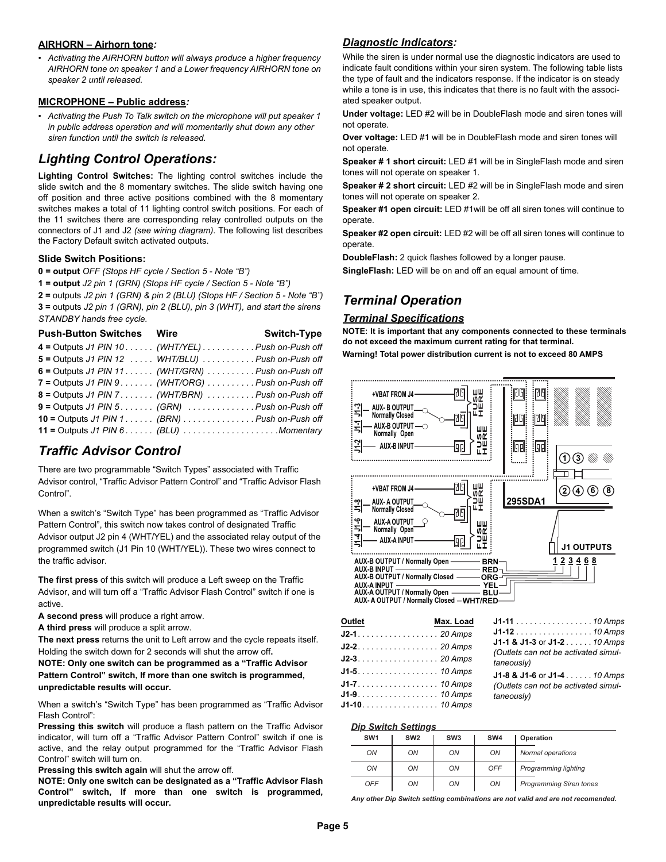#### **AIRHORN – Airhorn tone***:*

*• Activating the AIRHORN button will always produce a higher frequency AIRHORN tone on speaker 1 and a Lower frequency AIRHORN tone on speaker 2 until released.*

### **MICROPHONE – Public address***:*

*• Activating the Push To Talk switch on the microphone will put speaker 1 in public address operation and will momentarily shut down any other siren function until the switch is released.*

# *Lighting Control Operations:*

**Lighting Control Switches:** The lighting control switches include the slide switch and the 8 momentary switches. The slide switch having one off position and three active positions combined with the 8 momentary switches makes a total of 11 lighting control switch positions. For each of the 11 switches there are corresponding relay controlled outputs on the connectors of J1 and J2 *(see wiring diagram)*. The following list describes the Factory Default switch activated outputs.

### **Slide Switch Positions:**

**0 = output** *OFF (Stops HF cycle / Section 5 - Note "B")*

**1 = output** *J2 pin 1 (GRN) (Stops HF cycle / Section 5 - Note "B")* 

**2 =** outputs *J2 pin 1 (GRN) & pin 2 (BLU) (Stops HF / Section 5 - Note "B")* **3 =** outputs *J2 pin 1 (GRN), pin 2 (BLU), pin 3 (WHT), and start the sirens STANDBY hands free cycle.*

| <b>Push-Button Switches Wire</b>                               | Switch-Type |
|----------------------------------------------------------------|-------------|
| $4 =$ Outputs J1 PIN 10 (WHT/YEL) Push on-Push off             |             |
| $5 =$ Outputs J1 PIN 12  WHT/BLU)  Push on-Push off            |             |
| 6 = Outputs J1 PIN 11 (WHT/GRN)  Push on-Push off              |             |
| $7 =$ Outputs J1 PIN 9 (WHT/ORG)  Push on-Push off             |             |
| $8 =$ Outputs J1 PIN 7 (WHT/BRN)  Push on-Push off             |             |
| $9 =$ Outputs J1 PIN 5. (GRN) Push on-Push off                 |             |
| 10 = Outputs J1 PIN $1 \ldots$ (BRN) $\ldots$ Push on-Push off |             |
| 11 = Outputs J1 PIN $6$ (BLU)  Momentary                       |             |

# *Traffic Advisor Control*

There are two programmable "Switch Types" associated with Traffic Advisor control, "Traffic Advisor Pattern Control" and "Traffic Advisor Flash Control".

When a switch's "Switch Type" has been programmed as "Traffic Advisor Pattern Control", this switch now takes control of designated Traffic Advisor output J2 pin 4 (WHT/YEL) and the associated relay output of the programmed switch (J1 Pin 10 (WHT/YEL)). These two wires connect to the traffic advisor.

**The first press** of this switch will produce a Left sweep on the Traffic Advisor, and will turn off a "Traffic Advisor Flash Control" switch if one is active.

**A second press** will produce a right arrow.

**A third press** will produce a split arrow.

**The next press** returns the unit to Left arrow and the cycle repeats itself. Holding the switch down for 2 seconds will shut the arrow off**.**

**NOTE: Only one switch can be programmed as a "Traffic Advisor Pattern Control" switch, If more than one switch is programmed, unpredictable results will occur.**

When a switch's "Switch Type" has been programmed as "Traffic Advisor Flash Control":

**Pressing this switch** will produce a flash pattern on the Traffic Advisor indicator, will turn off a "Traffic Advisor Pattern Control" switch if one is active, and the relay output programmed for the "Traffic Advisor Flash Control" switch will turn on.

**Pressing this switch again** will shut the arrow off.

**NOTE: Only one switch can be designated as a "Traffic Advisor Flash Control" switch, If more than one switch is programmed, unpredictable results will occur.**

# *Diagnostic Indicators:*

While the siren is under normal use the diagnostic indicators are used to indicate fault conditions within your siren system. The following table lists the type of fault and the indicators response. If the indicator is on steady while a tone is in use, this indicates that there is no fault with the associated speaker output.

**Under voltage:** LED #2 will be in DoubleFlash mode and siren tones will not operate.

**Over voltage:** LED #1 will be in DoubleFlash mode and siren tones will not operate.

**Speaker # 1 short circuit:** LED #1 will be in SingleFlash mode and siren tones will not operate on speaker 1.

**Speaker # 2 short circuit:** LED #2 will be in SingleFlash mode and siren tones will not operate on speaker 2.

**Speaker #1 open circuit:** LED #1will be off all siren tones will continue to operate.

**Speaker #2 open circuit:** LED #2 will be off all siren tones will continue to operate.

**DoubleFlash:** 2 quick flashes followed by a longer pause.

**SingleFlash:** LED will be on and off an equal amount of time.

# *Terminal Operation*

# *Terminal Specifications*

**NOTE: It is important that any components connected to these terminals do not exceed the maximum current rating for that terminal. Warning! Total power distribution current is not to exceed 80 AMPS**



| Outlet         | Max. Load |
|----------------|-----------|
| J2-1. 20 Amps  |           |
| $J2-2$ 20 Amps |           |
| J2-3. 20 Amps  |           |
|                |           |
| J1-7. 10 Amps  |           |
| J1-9. 10 Amps  |           |
| J1-10. 10 Amps |           |

| J1-1 & J1-3 or J1-2 10 Amps          |  |
|--------------------------------------|--|
| (Outlets can not be activated simul- |  |
| taneously)                           |  |

**J1-8 & J1-6** or **J1-4** . . . . . . *10 Amps (Outlets can not be activated simultaneously)*

#### *Dip Switch Settings*

| SW <sub>1</sub> | SW <sub>2</sub> | SW <sub>3</sub> | SW <sub>4</sub> | Operation                      |
|-----------------|-----------------|-----------------|-----------------|--------------------------------|
| ON              | ON              | ON              | ON              | Normal operations              |
| ON              | ON              | ON              | OFF             | Programming lighting           |
| OFF             | ON              | ON              | ON              | <b>Programming Siren tones</b> |
|                 |                 |                 |                 |                                |

*Any other Dip Switch setting combinations are not valid and are not recomended.*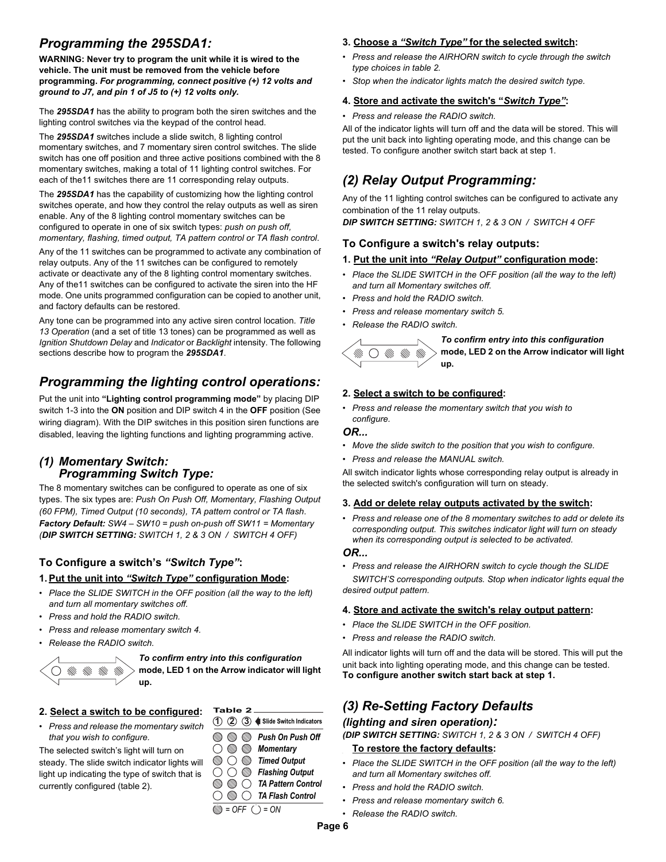# *Programming the 295SDA1:*

**WARNING: Never try to program the unit while it is wired to the vehicle. The unit must be removed from the vehicle before programming.** *For programming, connect positive (+) 12 volts and ground to J7, and pin 1 of J5 to (+) 12 volts only.*

The *295SDA1* has the ability to program both the siren switches and the lighting control switches via the keypad of the control head.

The *295SDA1* switches include a slide switch, 8 lighting control momentary switches, and 7 momentary siren control switches. The slide switch has one off position and three active positions combined with the 8 momentary switches, making a total of 11 lighting control switches. For each of the11 switches there are 11 corresponding relay outputs.

The *295SDA1* has the capability of customizing how the lighting control switches operate, and how they control the relay outputs as well as siren enable. Any of the 8 lighting control momentary switches can be configured to operate in one of six switch types: *push on push off, momentary, flashing, timed output, TA pattern control or TA flash control*.

Any of the 11 switches can be programmed to activate any combination of relay outputs. Any of the 11 switches can be configured to remotely activate or deactivate any of the 8 lighting control momentary switches. Any of the11 switches can be configured to activate the siren into the HF mode. One units programmed configuration can be copied to another unit, and factory defaults can be restored.

Any tone can be programmed into any active siren control location. *Title 13 Operation* (and a set of title 13 tones) can be programmed as well as *Ignition Shutdown Delay* and *Indicator* or *Backlight* intensity. The following sections describe how to program the *295SDA1*.

# *Programming the lighting control operations:*

Put the unit into **"Lighting control programming mode"** by placing DIP switch 1-3 into the **ON** position and DIP switch 4 in the **OFF** position (See wiring diagram). With the DIP switches in this position siren functions are disabled, leaving the lighting functions and lighting programming active.

### *(1) Momentary Switch: Programming Switch Type:*

The 8 momentary switches can be configured to operate as one of six types. The six types are: *Push On Push Off, Momentary, Flashing Output (60 FPM), Timed Output (10 seconds), TA pattern control or TA flash*. *Factory Default: SW4 – SW10 = push on-push off SW11 = Momentary (DIP SWITCH SETTING: SWITCH 1, 2 & 3 ON / SWITCH 4 OFF)*

# **To Configure a switch's** *"Switch Type"***:**

### **1. Put the unit into** *"Switch Type"* **configuration Mode:**

- **•** Place the SLIDE SWITCH in the OFF position (all the way to the left) *and turn all momentary switches off.*
- *Press and hold the RADIO switch.*
- *Press and release momentary switch 4.*
- *Release the RADIO switch.*



*To confirm entry into this configuration*  **mode, LED 1 on the Arrow indicator will light up.**

**Table 2**

#### **2. Select a switch to be configured:**

*• Press and release the momentary switch that you wish to configure.*

The selected switch's light will turn on steady. The slide switch indicator lights will light up indicating the type of switch that is currently configured (table 2).



### **3. Choose a** *"Switch Type"* **for the selected switch:**

- *Press and release the AIRHORN switch to cycle through the switch type choices in table 2.*
- *Stop when the indicator lights match the desired switch type.*

#### **4. Store and activate the switch's "***Switch Type"***:**

#### *• Press and release the RADIO switch.*

All of the indicator lights will turn off and the data will be stored. This will put the unit back into lighting operating mode, and this change can be tested. To configure another switch start back at step 1.

# *(2) Relay Output Programming:*

Any of the 11 lighting control switches can be configured to activate any combination of the 11 relay outputs.

*DIP SWITCH SETTING: SWITCH 1, 2 & 3 ON / SWITCH 4 OFF*

### **To Configure a switch's relay outputs:**

#### **1. Put the unit into** *"Relay Output"* **configuration mode:**

- **•** Place the SLIDE SWITCH in the OFF position (all the way to the left) *and turn all Momentary switches off.*
- *Press and hold the RADIO switch.*
- *Press and release momentary switch 5.*
- *Release the RADIO switch.*



*To confirm entry into this configuration*  **mode, LED 2 on the Arrow indicator will light up.**

### **2. Select a switch to be configured:**

*• Press and release the momentary switch that you wish to configure.*

#### *OR...*

- *Move the slide switch to the position that you wish to configure.*
- *Press and release the MANUAL switch.*

All switch indicator lights whose corresponding relay output is already in the selected switch's configuration will turn on steady.

#### **3. Add or delete relay outputs activated by the switch:**

*• Press and release one of the 8 momentary switches to add or delete its corresponding output. This switches indicator light will turn on steady when its corresponding output is selected to be activated.*

#### *OR...*

*• Press and release the AIRHORN switch to cycle though the SLIDE SWITCH'S corresponding outputs. Stop when indicator lights equal the* 

#### **4. Store and activate the switch's relay output pattern:**

- *Place the SLIDE SWITCH in the OFF position.*
- *Press and release the RADIO switch.*

All indicator lights will turn off and the data will be stored. This will put the unit back into lighting operating mode, and this change can be tested. **To configure another switch start back at step 1.**

# *(3) Re-Setting Factory Defaults*

*(lighting and siren operation):*

*(DIP SWITCH SETTING: SWITCH 1, 2 & 3 ON / SWITCH 4 OFF)*

### **To restore the factory defaults:**

- *Place the SLIDE SWITCH in the OFF position (all the way to the left) and turn all Momentary switches off.*
- *Press and hold the RADIO switch.*
- *Press and release momentary switch 6.*
- *Release the RADIO switch.*

*desired output pattern.*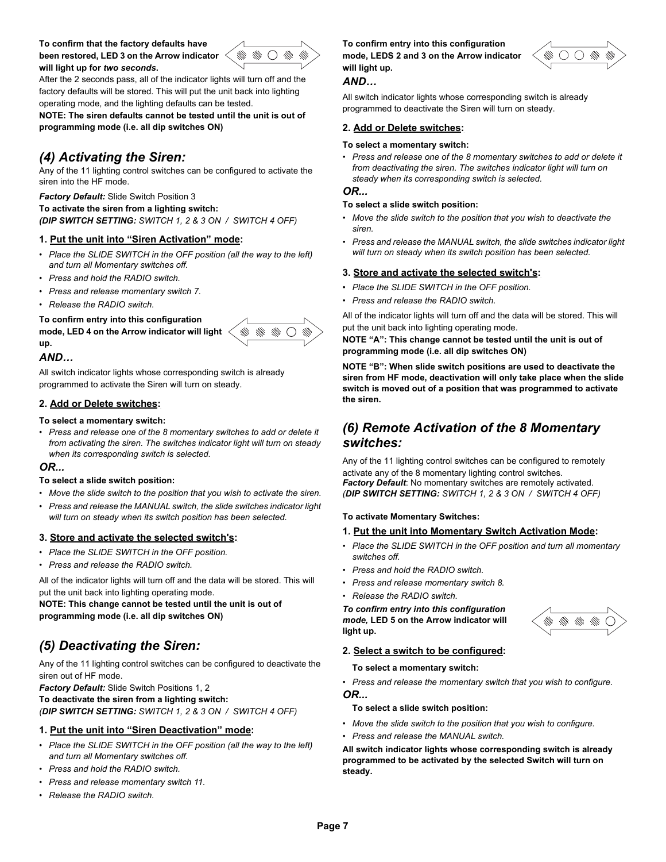**To confirm that the factory defaults have been restored, LED 3 on the Arrow indicator will light up for** *two seconds***.**



After the 2 seconds pass, all of the indicator lights will turn off and the factory defaults will be stored. This will put the unit back into lighting operating mode, and the lighting defaults can be tested.

**NOTE: The siren defaults cannot be tested until the unit is out of programming mode (i.e. all dip switches ON)**

# *(4) Activating the Siren:*

Any of the 11 lighting control switches can be configured to activate the siren into the HF mode.

*Factory Default:* Slide Switch Position 3

**To activate the siren from a lighting switch:**

*(DIP SWITCH SETTING: SWITCH 1, 2 & 3 ON / SWITCH 4 OFF)*

#### **1. Put the unit into "Siren Activation" mode:**

- *Place the SLIDE SWITCH in the OFF position (all the way to the left) and turn all Momentary switches off.*
- *Press and hold the RADIO switch.*
- *Press and release momentary switch 7.*
- *Release the RADIO switch.*

#### **To confirm entry into this configuration mode, LED 4 on the Arrow indicator will light up.**

#### *AND…*

All switch indicator lights whose corresponding switch is already programmed to activate the Siren will turn on steady.

#### **2. Add or Delete switches:**

#### **To select a momentary switch:**

*• Press and release one of the 8 momentary switches to add or delete it from activating the siren. The switches indicator light will turn on steady when its corresponding switch is selected.*

#### *OR...*

#### **To select a slide switch position:**

- *Move the slide switch to the position that you wish to activate the siren.*
- *Press and release the MANUAL switch, the slide switches indicator light will turn on steady when its switch position has been selected.*

#### **3. Store and activate the selected switch's:**

- *Place the SLIDE SWITCH in the OFF position.*
- *Press and release the RADIO switch.*

All of the indicator lights will turn off and the data will be stored. This will put the unit back into lighting operating mode.

**NOTE: This change cannot be tested until the unit is out of programming mode (i.e. all dip switches ON)**

# *(5) Deactivating the Siren:*

Any of the 11 lighting control switches can be configured to deactivate the siren out of HF mode.

*Factory Default:* Slide Switch Positions 1, 2

**To deactivate the siren from a lighting switch:**

*(DIP SWITCH SETTING: SWITCH 1, 2 & 3 ON / SWITCH 4 OFF)*

#### **1. Put the unit into "Siren Deactivation" mode:**

- **Place the SLIDE SWITCH in the OFF position (all the way to the left)** *and turn all Momentary switches off.*
- *Press and hold the RADIO switch.*
- *Press and release momentary switch 11.*
- *Release the RADIO switch.*

#### **To confirm entry into this configuration mode, LEDS 2 and 3 on the Arrow indicator will light up.**

#### *AND…*

All switch indicator lights whose corresponding switch is already programmed to deactivate the Siren will turn on steady.

#### **2. Add or Delete switches:**

#### **To select a momentary switch:**

*• Press and release one of the 8 momentary switches to add or delete it from deactivating the siren. The switches indicator light will turn on steady when its corresponding switch is selected.*

#### *OR...*

#### **To select a slide switch position:**

- *Move the slide switch to the position that you wish to deactivate the siren.*
- *Press and release the MANUAL switch, the slide switches indicator light will turn on steady when its switch position has been selected.*

#### **3. Store and activate the selected switch's:**

- *Place the SLIDE SWITCH in the OFF position.*
- *Press and release the RADIO switch.*

All of the indicator lights will turn off and the data will be stored. This will put the unit back into lighting operating mode.

**NOTE "A": This change cannot be tested until the unit is out of programming mode (i.e. all dip switches ON)**

**NOTE "B": When slide switch positions are used to deactivate the siren from HF mode, deactivation will only take place when the slide switch is moved out of a position that was programmed to activate the siren.**

# *(6) Remote Activation of the 8 Momentary switches:*

Any of the 11 lighting control switches can be configured to remotely activate any of the 8 momentary lighting control switches. *Factory Default*: No momentary switches are remotely activated. *(DIP SWITCH SETTING: SWITCH 1, 2 & 3 ON / SWITCH 4 OFF)*

#### **To activate Momentary Switches:**

#### **1. Put the unit into Momentary Switch Activation Mode:**

- *Place the SLIDE SWITCH in the OFF position and turn all momentary switches off.*
- *Press and hold the RADIO switch.*
- *Press and release momentary switch 8.*
- *Release the RADIO switch.*

*To confirm entry into this configuration mode,* **LED 5 on the Arrow indicator will light up.**



#### **2. Select a switch to be configured:**

**To select a momentary switch:**

*• Press and release the momentary switch that you wish to configure.*

*OR...*

#### **To select a slide switch position:**

- *Move the slide switch to the position that you wish to configure.*
- *Press and release the MANUAL switch.*

**All switch indicator lights whose corresponding switch is already programmed to be activated by the selected Switch will turn on steady.**

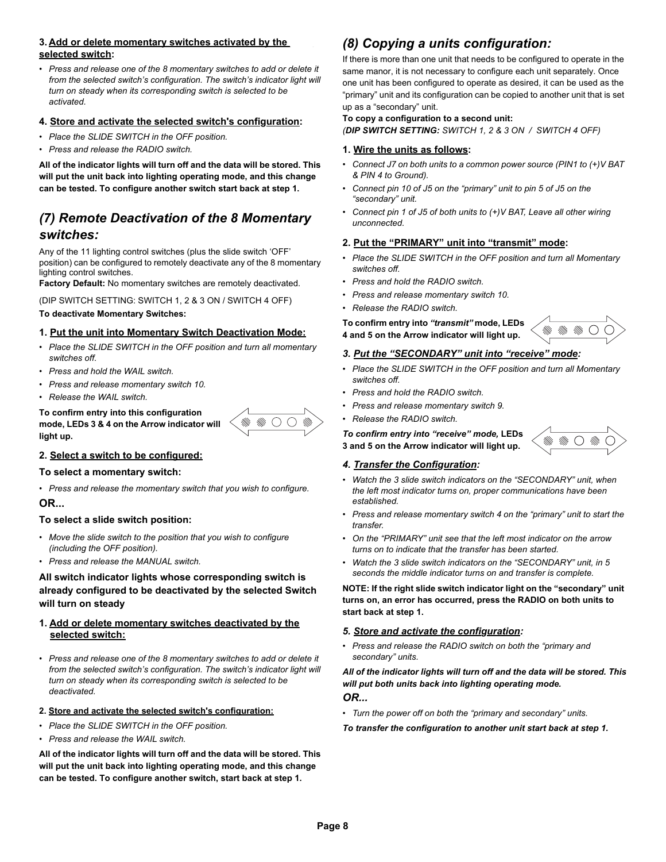#### **3. Add or delete momentary switches activated by the selected switch:**

*• Press and release one of the 8 momentary switches to add or delete it*  from the selected switch's configuration. The switch's indicator light will *turn on steady when its corresponding switch is selected to be activated.*

#### **4. Store and activate the selected switch's configuration:**

- *Place the SLIDE SWITCH in the OFF position.*
- *Press and release the RADIO switch.*

**All of the indicator lights will turn off and the data will be stored. This will put the unit back into lighting operating mode, and this change can be tested. To configure another switch start back at step 1.**

# *(7) Remote Deactivation of the 8 Momentary switches:*

Any of the 11 lighting control switches (plus the slide switch 'OFF' position) can be configured to remotely deactivate any of the 8 momentary lighting control switches.

**Factory Default:** No momentary switches are remotely deactivated.

(DIP SWITCH SETTING: SWITCH 1, 2 & 3 ON / SWITCH 4 OFF)

#### **To deactivate Momentary Switches:**

#### **1. Put the unit into Momentary Switch Deactivation Mode:**

- *Place the SLIDE SWITCH in the OFF position and turn all momentary switches off.*
- *Press and hold the WAIL switch.*
- *Press and release momentary switch 10.*
- *Release the WAIL switch.*

#### **To confirm entry into this configuration mode, LEDs 3 & 4 on the Arrow indicator will light up.**



#### **2. Select a switch to be configured:**

#### **To select a momentary switch:**

*• Press and release the momentary switch that you wish to configure.*

#### **OR...**

#### **To select a slide switch position:**

- *Move the slide switch to the position that you wish to configure (including the OFF position).*
- *Press and release the MANUAL switch.*

#### **All switch indicator lights whose corresponding switch is already configured to be deactivated by the selected Switch will turn on steady**

#### **1. Add or delete momentary switches deactivated by the selected switch:**

*• Press and release one of the 8 momentary switches to add or delete it*  from the selected switch's configuration. The switch's indicator light will *turn on steady when its corresponding switch is selected to be deactivated.*

#### **2. Store and activate the selected switch's configuration:**

- *Place the SLIDE SWITCH in the OFF position.*
- *Press and release the WAIL switch.*

**All of the indicator lights will turn off and the data will be stored. This will put the unit back into lighting operating mode, and this change can be tested. To configure another switch, start back at step 1.**

# *(8) Copying a units configuration:*

If there is more than one unit that needs to be configured to operate in the same manor, it is not necessary to configure each unit separately. Once one unit has been configured to operate as desired, it can be used as the "primary" unit and its configuration can be copied to another unit that is set up as a "secondary" unit.

#### **To copy a configuration to a second unit:**

*(DIP SWITCH SETTING: SWITCH 1, 2 & 3 ON / SWITCH 4 OFF)*

#### **1. Wire the units as follows:**

- *Connect J7 on both units to a common power source (PIN1 to (+)V BAT & PIN 4 to Ground).*
- *Connect pin 10 of J5 on the "primary" unit to pin 5 of J5 on the "secondary" unit.*
- *Connect pin 1 of J5 of both units to (+)V BAT, Leave all other wiring unconnected.*

#### **2. Put the "PRIMARY" unit into "transmit" mode:**

- *Place the SLIDE SWITCH in the OFF position and turn all Momentary switches off.*
- *Press and hold the RADIO switch.*
- *Press and release momentary switch 10.*
- *Release the RADIO switch.*

**To confirm entry into** *"transmit"* **mode, LEDs 4 and 5 on the Arrow indicator will light up.**



### *3. Put the "SECONDARY" unit into "receive" mode:*

- *Place the SLIDE SWITCH in the OFF position and turn all Momentary switches off.*
- *Press and hold the RADIO switch.*
- *Press and release momentary switch 9.*
- *Release the RADIO switch.*

*To confirm entry into "receive" mode,* **LEDs 3 and 5 on the Arrow indicator will light up.**



#### *4. Transfer the Configuration:*

- *Watch the 3 slide switch indicators on the "SECONDARY" unit, when the left most indicator turns on, proper communications have been established.*
- *Press and release momentary switch 4 on the "primary" unit to start the transfer.*
- *On the "PRIMARY" unit see that the left most indicator on the arrow turns on to indicate that the transfer has been started.*
- *Watch the 3 slide switch indicators on the "SECONDARY" unit, in 5 seconds the middle indicator turns on and transfer is complete.*

**NOTE: If the right slide switch indicator light on the "secondary" unit turns on, an error has occurred, press the RADIO on both units to start back at step 1.**

#### *5. Store and activate the configuration:*

*• Press and release the RADIO switch on both the "primary and secondary" units.*

*All of the indicator lights will turn off and the data will be stored. This will put both units back into lighting operating mode. OR...*

*• Turn the power off on both the "primary and secondary" units.*

*To transfer the configuration to another unit start back at step 1.*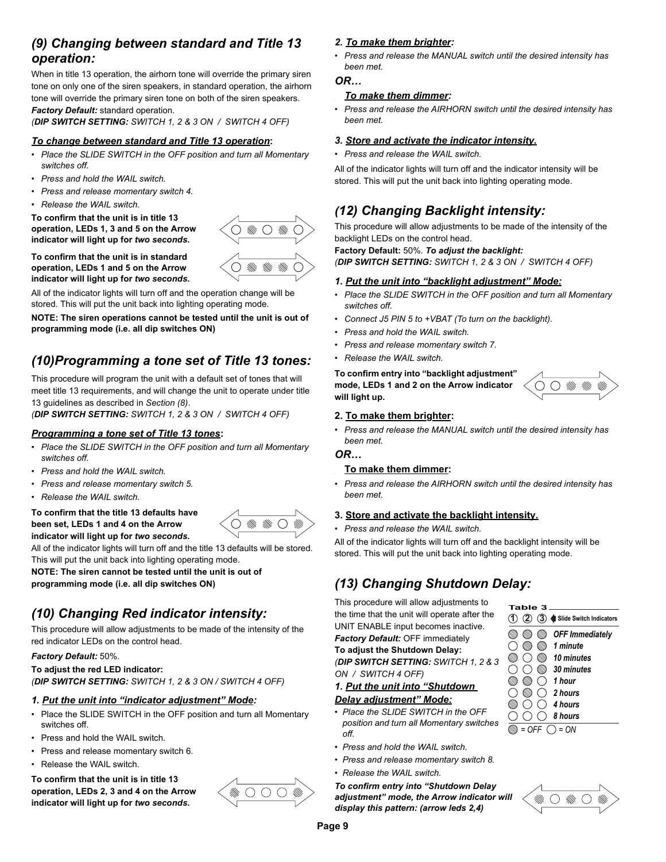# *(9) Changing between standard and Title 13 operation:*

When in title 13 operation, the airhorn tone will override the primary siren tone on only one of the siren speakers, in standard operation, the airhorn tone will override the primary siren tone on both of the siren speakers. *Factory Default:* standard operation.

*(DIP SWITCH SETTING: SWITCH 1, 2 & 3 ON / SWITCH 4 OFF)*

#### *To change between standard and Title 13 operation***:**

- *Place the SLIDE SWITCH in the OFF position and turn all Momentary switches off.*
- *Press and hold the WAIL switch.*
- *Press and release momentary switch 4.*
- *Release the WAIL switch.*

**To confirm that the unit is in title 13 operation, LEDs 1, 3 and 5 on the Arrow indicator will light up for** *two seconds***.**



**To confirm that the unit is in standard operation, LEDs 1 and 5 on the Arrow indicator will light up for** *two seconds***.**

All of the indicator lights will turn off and the operation change will be stored. This will put the unit back into lighting operating mode.

**NOTE: The siren operations cannot be tested until the unit is out of programming mode (i.e. all dip switches ON)**

# *(10)Programming a tone set of Title 13 tones:*

This procedure will program the unit with a default set of tones that will meet title 13 requirements, and will change the unit to operate under title 13 guidelines as described in *Section (8)*.

*(DIP SWITCH SETTING: SWITCH 1, 2 & 3 ON / SWITCH 4 OFF)*

#### *Programming a tone set of Title 13 tones***:**

- *Place the SLIDE SWITCH in the OFF position and turn all Momentary switches off.*
- *Press and hold the WAIL switch.*
- *Press and release momentary switch 5.*
- *Release the WAIL switch.*

#### **To confirm that the title 13 defaults have been set, LEDs 1 and 4 on the Arrow indicator will light up for** *two seconds***.**



All of the indicator lights will turn off and the title 13 defaults will be stored. This will put the unit back into lighting operating mode.

**NOTE: The siren cannot be tested until the unit is out of** 

**programming mode (i.e. all dip switches ON)**

# *(10) Changing Red indicator intensity:*

This procedure will allow adjustments to be made of the intensity of the red indicator LEDs on the control head.

### *Factory Default:* 50%.

**To adjust the red LED indicator:** *(DIP SWITCH SETTING: SWITCH 1, 2 & 3 ON / SWITCH 4 OFF)*

# *1. Put the unit into "indicator adjustment" Mode:*

- Place the SLIDE SWITCH in the OFF position and turn all Momentary switches off.
- Press and hold the WAIL switch.
- Press and release momentary switch 6.
- Release the WAIL switch.

#### **To confirm that the unit is in title 13 operation, LEDs 2, 3 and 4 on the Arrow indicator will light up for** *two seconds***.**



### *2. To make them brighter:*

*• Press and release the MANUAL switch until the desired intensity has been met.*

#### *OR…*

#### *To make them dimmer:*

*• Press and release the AIRHORN switch until the desired intensity has been met.*

#### *3. Store and activate the indicator intensity.*

*• Press and release the WAIL switch.*

All of the indicator lights will turn off and the indicator intensity will be stored. This will put the unit back into lighting operating mode.

# *(12) Changing Backlight intensity:*

This procedure will allow adjustments to be made of the intensity of the backlight LEDs on the control head.

**Factory Default:** 50%. *To adjust the backlight:*

*(DIP SWITCH SETTING: SWITCH 1, 2 & 3 ON / SWITCH 4 OFF)*

#### *1. Put the unit into "backlight adjustment" Mode:*

- *Place the SLIDE SWITCH in the OFF position and turn all Momentary switches off.*
- *Connect J5 PIN 5 to +VBAT (To turn on the backlight).*
- *Press and hold the WAIL switch.*
- *Press and release momentary switch 7.*
- *Release the WAIL switch.*

#### **To confirm entry into "backlight adjustment" mode, LEDs 1 and 2 on the Arrow indicator will light up.**

# **2. To make them brighter:**

*• Press and release the MANUAL switch until the desired intensity has been met.*

#### *OR…*

#### **To make them dimmer:**

*• Press and release the AIRHORN switch until the desired intensity has been met.*

### **3. Store and activate the backlight intensity.**

*• Press and release the WAIL switch.*

All of the indicator lights will turn off and the backlight intensity will be

# *(13) Changing Shutdown Delay:*

This procedure will allow adjustments to the time that the unit will operate after the UNIT ENABLE input becomes inactive. *Factory Default:* OFF immediately **To adjust the Shutdown Delay:** *(DIP SWITCH SETTING: SWITCH 1, 2 & 3 ON / SWITCH 4 OFF)*

#### *1. Put the unit into "Shutdown Delay adjustment" Mode:*

- *Place the SLIDE SWITCH in the OFF position and turn all Momentary switches off.*
- *Press and hold the WAIL switch.*
- *Press and release momentary switch 8.*
- *Release the WAIL switch.*

*To confirm entry into "Shutdown Delay adjustment" mode, the Arrow indicator will display this pattern: (arrow leds 2,4)*





stored. This will put the unit back into lighting operating mode.